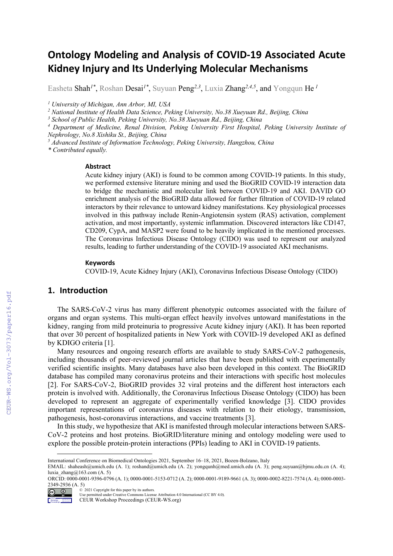# **Ontology Modeling and Analysis of COVID-19 Associated Acute Kidney Injury and Its Underlying Molecular Mechanisms**

Easheta Shah<sup>1\*</sup>, Roshan Desai<sup>1\*</sup>, Suyuan Peng<sup>2,3</sup>, Luxia Zhang<sup>2,4,5</sup>, and Yongqun He<sup>1</sup>

*<sup>1</sup> University of Michigan, Ann Arbor, MI, USA*

*<sup>2</sup> National Institute of Health Data Science, Peking University, No.38 Xueyuan Rd., Beijing, China*

*<sup>3</sup> School of Public Health, Peking University, No.38 Xueyuan Rd., Beijing, China*

*<sup>4</sup> Department of Medicine, Renal Division, Peking University First Hospital, Peking University Institute of Nephrology, No.8 Xishiku St., Beijing, China*

*<sup>5</sup> Advanced Institute of Information Technology, Peking University, Hangzhou, China*

*\* Contributed equally.*

#### **Abstract**

Acute kidney injury (AKI) is found to be common among COVID-19 patients. In this study, we performed extensive literature mining and used the BioGRID COVID-19 interaction data to bridge the mechanistic and molecular link between COVID-19 and AKI. DAVID GO enrichment analysis of the BioGRID data allowed for further filtration of COVID-19 related interactors by their relevance to untoward kidney manifestations. Key physiological processes involved in this pathway include Renin-Angiotensin system (RAS) activation, complement activation, and most importantly, systemic inflammation. Discovered interactors like CD147, CD209, CypA, and MASP2 were found to be heavily implicated in the mentioned processes. The Coronavirus Infectious Disease Ontology (CIDO) was used to represent our analyzed results, leading to further understanding of the COVID-19 associated AKI mechanisms.

#### **Keywords 1**

COVID-19, Acute Kidney Injury (AKI), Coronavirus Infectious Disease Ontology (CIDO)

#### **1. Introduction**

The SARS-CoV-2 virus has many different phenotypic outcomes associated with the failure of organs and organ systems. This multi-organ effect heavily involves untoward manifestations in the kidney, ranging from mild proteinuria to progressive Acute kidney injury (AKI). It has been reported that over 30 percent of hospitalized patients in New York with COVID-19 developed AKI as defined by KDIGO criteria [1].

Many resources and ongoing research efforts are available to study SARS-CoV-2 pathogenesis, including thousands of peer-reviewed journal articles that have been published with experimentally verified scientific insights. Many databases have also been developed in this context. The BioGRID database has compiled many coronavirus proteins and their interactions with specific host molecules [2]. For SARS-CoV-2, BioGRID provides 32 viral proteins and the different host interactors each protein is involved with. Additionally, the Coronavirus Infectious Disease Ontology (CIDO) has been developed to represent an aggregate of experimentally verified knowledge [3]. CIDO provides important representations of coronavirus diseases with relation to their etiology, transmission, pathogenesis, host-coronavirus interactions, and vaccine treatments [3].

In this study, we hypothesize that AKI is manifested through molecular interactions between SARS-CoV-2 proteins and host proteins. BioGRID/literature mining and ontology modeling were used to explore the possible protein-protein interactions (PPIs) leading to AKI in COVID-19 patients.

ORCID: 0000-0001-9396-0796 (A. 1); 0000-0001-5153-0712 (A. 2); 0000-0001-9189-9661 (A. 3); 0000-0002-8221-7574 (A. 4); 0000-0003- 2349-2936 (A. 5)<br>
<sup>©</sup> <sup>2021</sup> Copyright for this paper by its authors.<br>
Use permitted under Creative Commons License Attribution 4.0 International (CC BY 4.0).<br>
CEUR Workshop Proceedings (CEUR-WS.org)



International Conference on Biomedical Ontologies 2021, September 16–18, 2021, Bozen-Bolzano, Italy

EMAIL: shaheash@umich.edu (A. 1); roshand@umich.edu (A. 2); yongqunh@med.umich.edu (A. 3); peng.suyuan@bjmu.edu.cn (A. 4); luxia\_zhang@163.com (A. 5)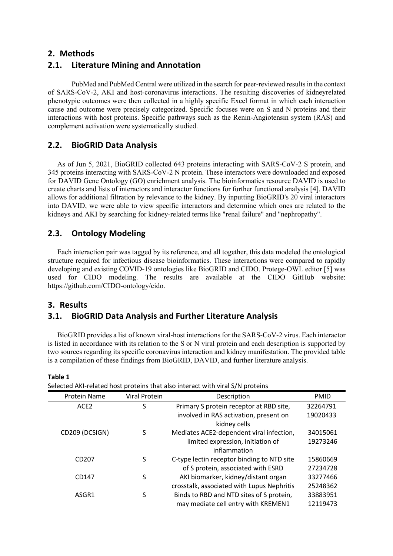### **2. Methods**

# **2.1. Literature Mining and Annotation**

PubMed and PubMed Central were utilized in the search for peer-reviewed results in the context of SARS-CoV-2, AKI and host-coronavirus interactions. The resulting discoveries of kidneyrelated phenotypic outcomes were then collected in a highly specific Excel format in which each interaction cause and outcome were precisely categorized. Specific focuses were on S and N proteins and their interactions with host proteins. Specific pathways such as the Renin-Angiotensin system (RAS) and complement activation were systematically studied.

# **2.2. BioGRID Data Analysis**

As of Jun 5, 2021, BioGRID collected 643 proteins interacting with SARS-CoV-2 S protein, and 345 proteins interacting with SARS-CoV-2 N protein. These interactors were downloaded and exposed for DAVID Gene Ontology (GO) enrichment analysis. The bioinformatics resource DAVID is used to create charts and lists of interactors and interactor functions for further functional analysis [4]. DAVID allows for additional filtration by relevance to the kidney. By inputting BioGRID's 20 viral interactors into DAVID, we were able to view specific interactors and determine which ones are related to the kidneys and AKI by searching for kidney-related terms like "renal failure" and "nephropathy".

# **2.3. Ontology Modeling**

Each interaction pair was tagged by its reference, and all together, this data modeled the ontological structure required for infectious disease bioinformatics. These interactions were compared to rapidly developing and existing COVID-19 ontologies like BioGRID and CIDO. Protege-OWL editor [5] was used for CIDO modeling. The results are available at the CIDO GitHub website: https://github.com/CIDO-ontology/cido.

# **3. Results**

**Table 1**

# **3.1. BioGRID Data Analysis and Further Literature Analysis**

BioGRID provides a list of known viral-host interactions for the SARS-CoV-2 virus. Each interactor is listed in accordance with its relation to the S or N viral protein and each description is supported by two sources regarding its specific coronavirus interaction and kidney manifestation. The provided table is a compilation of these findings from BioGRID, DAVID, and further literature analysis.

| belected ANPI elated 1103t proteins that also interact with viral 3/14 proteins |               |                                                        |             |  |
|---------------------------------------------------------------------------------|---------------|--------------------------------------------------------|-------------|--|
| Protein Name                                                                    | Viral Protein | Description                                            | <b>PMID</b> |  |
| ACE <sub>2</sub>                                                                | S             | Primary S protein receptor at RBD site,                | 32264791    |  |
|                                                                                 |               | involved in RAS activation, present on<br>kidney cells | 19020433    |  |
| CD209 (DCSIGN)                                                                  | S             | Mediates ACE2-dependent viral infection,               | 34015061    |  |
|                                                                                 |               | limited expression, initiation of<br>inflammation      | 19273246    |  |
| CD <sub>207</sub>                                                               | S             | C-type lectin receptor binding to NTD site             | 15860669    |  |
|                                                                                 |               | of S protein, associated with ESRD                     | 27234728    |  |
| CD147                                                                           | S             | AKI biomarker, kidney/distant organ                    | 33277466    |  |
|                                                                                 |               | crosstalk, associated with Lupus Nephritis             | 25248362    |  |
| ASGR1                                                                           | S             | Binds to RBD and NTD sites of S protein,               | 33883951    |  |
|                                                                                 |               | may mediate cell entry with KREMEN1                    | 12119473    |  |

Selected AKI-related host proteins that also interact with viral S/N proteins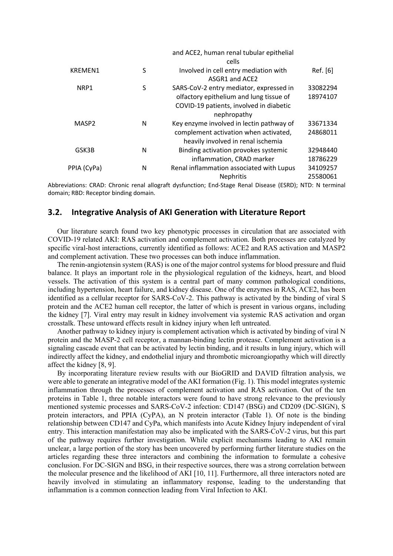|                   |   | and ACE2, human renal tubular epithelial |          |
|-------------------|---|------------------------------------------|----------|
|                   |   | cells                                    |          |
| KREMEN1           | S | Involved in cell entry mediation with    | Ref. [6] |
|                   |   | ASGR1 and ACE2                           |          |
| NRP1              | S | SARS-CoV-2 entry mediator, expressed in  | 33082294 |
|                   |   | olfactory epithelium and lung tissue of  | 18974107 |
|                   |   | COVID-19 patients, involved in diabetic  |          |
|                   |   | nephropathy                              |          |
| MASP <sub>2</sub> | N | Key enzyme involved in lectin pathway of | 33671334 |
|                   |   | complement activation when activated,    | 24868011 |
|                   |   | heavily involved in renal ischemia       |          |
| GSK3B             | N | Binding activation provokes systemic     | 32948440 |
|                   |   | inflammation, CRAD marker                | 18786229 |
| PPIA (CyPa)       | N | Renal inflammation associated with Lupus | 34109257 |
|                   |   | <b>Nephritis</b>                         | 25580061 |

Abbreviations: CRAD: Chronic renal allograft dysfunction; End-Stage Renal Disease (ESRD); NTD: N terminal domain; RBD: Receptor binding domain.

### **3.2. Integrative Analysis of AKI Generation with Literature Report**

Our literature search found two key phenotypic processes in circulation that are associated with COVID-19 related AKI: RAS activation and complement activation. Both processes are catalyzed by specific viral-host interactions, currently identified as follows: ACE2 and RAS activation and MASP2 and complement activation. These two processes can both induce inflammation.

The renin-angiotensin system (RAS) is one of the major control systems for blood pressure and fluid balance. It plays an important role in the physiological regulation of the kidneys, heart, and blood vessels. The activation of this system is a central part of many common pathological conditions, including hypertension, heart failure, and kidney disease. One of the enzymes in RAS, ACE2, has been identified as a cellular receptor for SARS-CoV-2. This pathway is activated by the binding of viral S protein and the ACE2 human cell receptor, the latter of which is present in various organs, including the kidney [7]. Viral entry may result in kidney involvement via systemic RAS activation and organ crosstalk. These untoward effects result in kidney injury when left untreated.

Another pathway to kidney injury is complement activation which is activated by binding of viral N protein and the MASP-2 cell receptor, a mannan-binding lectin protease. Complement activation is a signaling cascade event that can be activated by lectin binding, and it results in lung injury, which will indirectly affect the kidney, and endothelial injury and thrombotic microangiopathy which will directly affect the kidney [8, 9].

By incorporating literature review results with our BioGRID and DAVID filtration analysis, we were able to generate an integrative model of the AKI formation (Fig. 1). This model integrates systemic inflammation through the processes of complement activation and RAS activation. Out of the ten proteins in Table 1, three notable interactors were found to have strong relevance to the previously mentioned systemic processes and SARS-CoV-2 infection: CD147 (BSG) and CD209 (DC-SIGN), S protein interactors, and PPIA (CyPA), an N protein interactor (Table 1). Of note is the binding relationship between CD147 and CyPa, which manifests into Acute Kidney Injury independent of viral entry. This interaction manifestation may also be implicated with the SARS-CoV-2 virus, but this part of the pathway requires further investigation. While explicit mechanisms leading to AKI remain unclear, a large portion of the story has been uncovered by performing further literature studies on the articles regarding these three interactors and combining the information to formulate a cohesive conclusion. For DC-SIGN and BSG, in their respective sources, there was a strong correlation between the molecular presence and the likelihood of AKI [10, 11]. Furthermore, all three interactors noted are heavily involved in stimulating an inflammatory response, leading to the understanding that inflammation is a common connection leading from Viral Infection to AKI.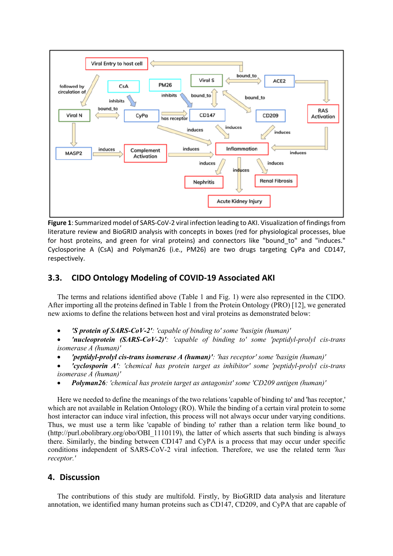

**Figure 1**: Summarized model of SARS-CoV-2 viral infection leading to AKI. Visualization of findings from literature review and BioGRID analysis with concepts in boxes (red for physiological processes, blue for host proteins, and green for viral proteins) and connectors like "bound\_to" and "induces." Cyclosporine A (CsA) and Polyman26 (i.e., PM26) are two drugs targeting CyPa and CD147, respectively.

# **3.3. CIDO Ontology Modeling of COVID-19 Associated AKI**

The terms and relations identified above (Table 1 and Fig. 1) were also represented in the CIDO. After importing all the proteins defined in Table 1 from the Protein Ontology (PRO) [12], we generated new axioms to define the relations between host and viral proteins as demonstrated below:

• *'S protein of SARS-CoV-2': 'capable of binding to' some 'basigin (human)'*

• *'nucleoprotein (SARS-CoV-2)': 'capable of binding to' some 'peptidyl-prolyl cis-trans isomerase A (human)'* 

- *'peptidyl-prolyl cis-trans isomerase A (human)': 'has receptor' some 'basigin (human)'*
- *'cyclosporin A': 'chemical has protein target as inhibitor' some 'peptidyl-prolyl cis-trans isomerase A (human)'*
- *Polyman26: 'chemical has protein target as antagonist' some 'CD209 antigen (human)'*

Here we needed to define the meanings of the two relations 'capable of binding to' and 'has receptor,' which are not available in Relation Ontology (RO). While the binding of a certain viral protein to some host interactor can induce viral infection, this process will not always occur under varying conditions. Thus, we must use a term like 'capable of binding to' rather than a relation term like bound\_to (http://purl.obolibrary.org/obo/OBI\_1110119), the latter of which asserts that such binding is always there. Similarly, the binding between CD147 and CyPA is a process that may occur under specific conditions independent of SARS-CoV-2 viral infection. Therefore, we use the related term *'has receptor.'*

### **4. Discussion**

The contributions of this study are multifold. Firstly, by BioGRID data analysis and literature annotation, we identified many human proteins such as CD147, CD209, and CyPA that are capable of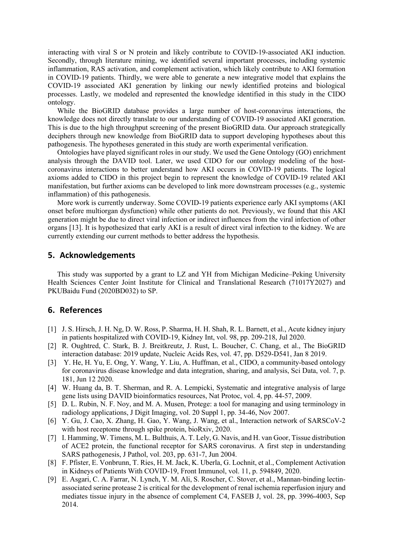interacting with viral S or N protein and likely contribute to COVID-19-associated AKI induction. Secondly, through literature mining, we identified several important processes, including systemic inflammation, RAS activation, and complement activation, which likely contribute to AKI formation in COVID-19 patients. Thirdly, we were able to generate a new integrative model that explains the COVID-19 associated AKI generation by linking our newly identified proteins and biological processes. Lastly, we modeled and represented the knowledge identified in this study in the CIDO ontology.

While the BioGRID database provides a large number of host-coronavirus interactions, the knowledge does not directly translate to our understanding of COVID-19 associated AKI generation. This is due to the high throughput screening of the present BioGRID data. Our approach strategically deciphers through new knowledge from BioGRID data to support developing hypotheses about this pathogenesis. The hypotheses generated in this study are worth experimental verification.

Ontologies have played significant roles in our study. We used the Gene Ontology (GO) enrichment analysis through the DAVID tool. Later, we used CIDO for our ontology modeling of the hostcoronavirus interactions to better understand how AKI occurs in COVID-19 patients. The logical axioms added to CIDO in this project begin to represent the knowledge of COVID-19 related AKI manifestation, but further axioms can be developed to link more downstream processes (e.g., systemic inflammation) of this pathogenesis.

More work is currently underway. Some COVID-19 patients experience early AKI symptoms (AKI onset before multiorgan dysfunction) while other patients do not. Previously, we found that this AKI generation might be due to direct viral infection or indirect influences from the viral infection of other organs [13]. It is hypothesized that early AKI is a result of direct viral infection to the kidney. We are currently extending our current methods to better address the hypothesis.

#### **5. Acknowledgements**

This study was supported by a grant to LZ and YH from Michigan Medicine–Peking University Health Sciences Center Joint Institute for Clinical and Translational Research (71017Y2027) and PKUBaidu Fund (2020BD032) to SP.

#### **6. References**

- [1] J. S. Hirsch, J. H. Ng, D. W. Ross, P. Sharma, H. H. Shah, R. L. Barnett, et al., Acute kidney injury in patients hospitalized with COVID-19, Kidney Int, vol. 98, pp. 209-218, Jul 2020.
- [2] R. Oughtred, C. Stark, B. J. Breitkreutz, J. Rust, L. Boucher, C. Chang, et al., The BioGRID interaction database: 2019 update, Nucleic Acids Res, vol. 47, pp. D529-D541, Jan 8 2019.
- [3] Y. He, H. Yu, E. Ong, Y. Wang, Y. Liu, A. Huffman, et al., CIDO, a community-based ontology for coronavirus disease knowledge and data integration, sharing, and analysis, Sci Data, vol. 7, p. 181, Jun 12 2020.
- [4] W. Huang da, B. T. Sherman, and R. A. Lempicki, Systematic and integrative analysis of large gene lists using DAVID bioinformatics resources, Nat Protoc, vol. 4, pp. 44-57, 2009.
- [5] D. L. Rubin, N. F. Noy, and M. A. Musen, Protege: a tool for managing and using terminology in radiology applications, J Digit Imaging, vol. 20 Suppl 1, pp. 34-46, Nov 2007.
- [6] Y. Gu, J. Cao, X. Zhang, H. Gao, Y. Wang, J. Wang, et al., Interaction network of SARSCoV-2 with host receptome through spike protein, bioRxiv, 2020.
- [7] I. Hamming, W. Timens, M. L. Bulthuis, A. T. Lely, G. Navis, and H. van Goor, Tissue distribution of ACE2 protein, the functional receptor for SARS coronavirus. A first step in understanding SARS pathogenesis, J Pathol, vol. 203, pp. 631-7, Jun 2004.
- [8] F. Pfister, E. Vonbrunn, T. Ries, H. M. Jack, K. Uberla, G. Lochnit, et al., Complement Activation in Kidneys of Patients With COVID-19, Front Immunol, vol. 11, p. 594849, 2020.
- [9] E. Asgari, C. A. Farrar, N. Lynch, Y. M. Ali, S. Roscher, C. Stover, et al., Mannan-binding lectinassociated serine protease 2 is critical for the development of renal ischemia reperfusion injury and mediates tissue injury in the absence of complement C4, FASEB J, vol. 28, pp. 3996-4003, Sep 2014.